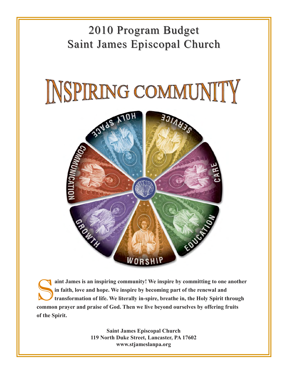#### 2010 Program Budget Saint James Episcopal Church





aint James is an inspiring community! We inspire by committing to one another **in faith, love and hope. We inspire by becoming part of the renewal and transformation of life. We literally in-spire, breathe in, the Holy Spirit through common prayer and praise of God. Then we live beyond ourselves by offering fruits of the Spirit.** 

> **Saint James Episcopal Church 119 North Duke Street, Lancaster, PA 17602 www.stjameslanpa.org**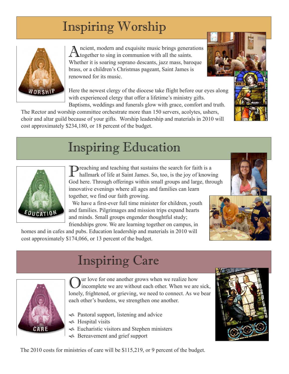# Inspiring Worship



ncient, modern and exquisite music brings generations **L** together to sing in communion with all the saints. Whether it is soaring soprano descants, jazz mass, baroque brass, or a children's Christmas pageant, Saint James is renowned for its music.

Here the newest clergy of the diocese take flight before our eyes along with experienced clergy that offer a lifetime's ministry gifts. Baptisms, weddings and funerals glow with grace, comfort and truth.

The Rector and worship committee orchestrate more than 150 servers, acolytes, ushers, choir and altar guild because of your gifts. Worship leadership and materials in 2010 will cost approximately \$234,180, or 18 percent of the budget.

### Inspiring Education



**Preaching and teaching that sustains the search for faith is a** hallmark of life at Saint James. So, too, is the joy of knowing God here. Through offerings within small groups and large, through innovative evenings where all ages and families can learn together, we find our faith growing.

 We have a first-ever full time minister for children, youth and families. Pilgrimages and mission trips expand hearts and minds. Small groups engender thoughtful study; friendships grow. We are learning together on campus, in

homes and in cafes and pubs. Education leadership and materials in 2010 will cost approximately \$174,066, or 13 percent of the budget.

#### Inspiring Care



Our love for one another grows when we realize how incomplete we are without each other. When we are sick, lonely, frightened, or grieving, we need to connect. As we bear each other's burdens, we strengthen one another.

- $\sim$  Pastoral support, listening and advice
- **S** Hospital visits
- $\sim$  Eucharistic visitors and Stephen ministers
- ! Bereavement and grief support





The 2010 costs for ministries of care will be \$115,219, or 9 percent of the budget.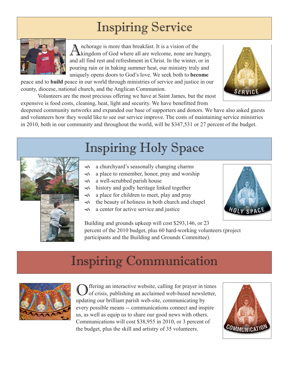## Inspiring Service



Anchorage is more than breakfast. It is a vision of the kingdom of God where all are welcome, none are hungry, and all find rest and refreshment in Christ. In the winter, or in pouring rain or in baking summer heat, our ministry truly and uniquely opens doors to God's love. We seek both to **become**

peace and to **build** peace in our world through ministries of service and justice in our county, diocese, national church, and the Anglican Communion.



 Volunteers are the most precious offering we have at Saint James, but the most expensive is food costs, cleaning, heat, light and security. We have benefitted from

deepened community networks and expanded our base of supporters and donors. We have also asked guests and volunteers how they would like to see our service improve. The costs of maintaining service ministries in 2010, both in our community and throughout the world, will be \$347,531 or 27 percent of the budget.



# Inspiring Communication



Offering an interactive website, calling for prayer in times of crisis, publishing an acclaimed web-based newsletter, updating our brilliant parish web-site, communicating by every possible means -- communications connect and inspire us, as well as equip us to share our good news with others. Communications will cost \$38,955 in 2010, or 3 percent of the budget, plus the skill and artistry of 35 volunteers.